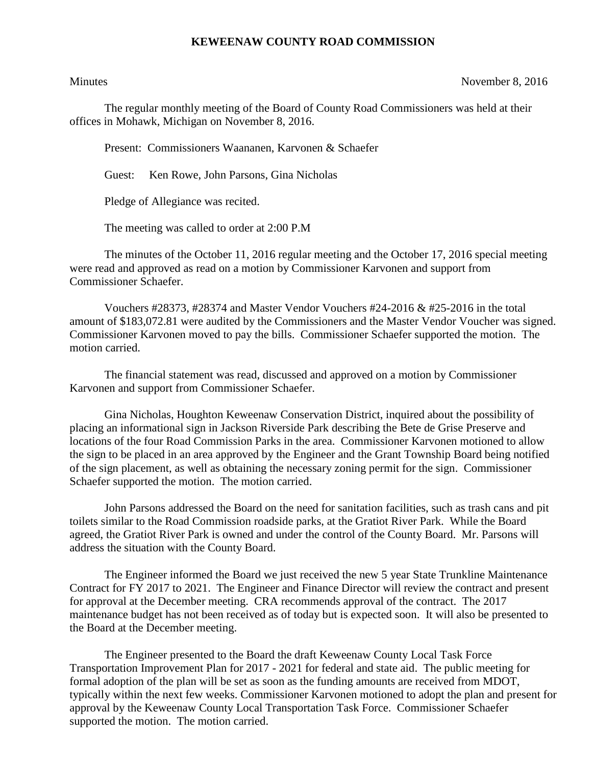## **KEWEENAW COUNTY ROAD COMMISSION**

Minutes November 8, 2016

The regular monthly meeting of the Board of County Road Commissioners was held at their offices in Mohawk, Michigan on November 8, 2016.

Present: Commissioners Waananen, Karvonen & Schaefer

Guest: Ken Rowe, John Parsons, Gina Nicholas

Pledge of Allegiance was recited.

The meeting was called to order at 2:00 P.M

The minutes of the October 11, 2016 regular meeting and the October 17, 2016 special meeting were read and approved as read on a motion by Commissioner Karvonen and support from Commissioner Schaefer.

Vouchers #28373, #28374 and Master Vendor Vouchers #24-2016 & #25-2016 in the total amount of \$183,072.81 were audited by the Commissioners and the Master Vendor Voucher was signed. Commissioner Karvonen moved to pay the bills. Commissioner Schaefer supported the motion. The motion carried.

The financial statement was read, discussed and approved on a motion by Commissioner Karvonen and support from Commissioner Schaefer.

Gina Nicholas, Houghton Keweenaw Conservation District, inquired about the possibility of placing an informational sign in Jackson Riverside Park describing the Bete de Grise Preserve and locations of the four Road Commission Parks in the area. Commissioner Karvonen motioned to allow the sign to be placed in an area approved by the Engineer and the Grant Township Board being notified of the sign placement, as well as obtaining the necessary zoning permit for the sign. Commissioner Schaefer supported the motion. The motion carried.

John Parsons addressed the Board on the need for sanitation facilities, such as trash cans and pit toilets similar to the Road Commission roadside parks, at the Gratiot River Park. While the Board agreed, the Gratiot River Park is owned and under the control of the County Board. Mr. Parsons will address the situation with the County Board.

The Engineer informed the Board we just received the new 5 year State Trunkline Maintenance Contract for FY 2017 to 2021. The Engineer and Finance Director will review the contract and present for approval at the December meeting. CRA recommends approval of the contract. The 2017 maintenance budget has not been received as of today but is expected soon. It will also be presented to the Board at the December meeting.

The Engineer presented to the Board the draft Keweenaw County Local Task Force Transportation Improvement Plan for 2017 - 2021 for federal and state aid. The public meeting for formal adoption of the plan will be set as soon as the funding amounts are received from MDOT, typically within the next few weeks. Commissioner Karvonen motioned to adopt the plan and present for approval by the Keweenaw County Local Transportation Task Force. Commissioner Schaefer supported the motion. The motion carried.